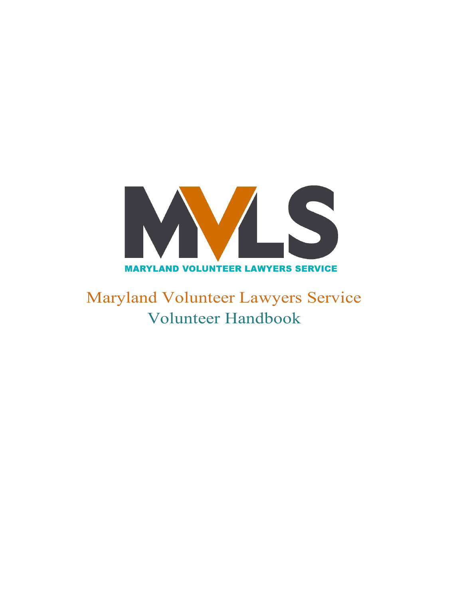

Maryland Volunteer Lawyers Service Volunteer Handbook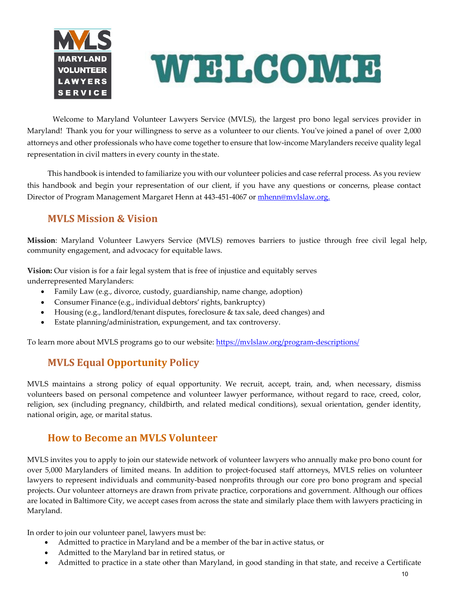



Welcome to Maryland Volunteer Lawyers Service (MVLS), the largest pro bono legal services provider in Maryland! Thank you for your willingness to serve as a volunteer to our clients. You've joined a panel of over 2,000 attorneys and other professionals who have come together to ensure that low-income Marylanders receive quality legal representation in civil matters in every county in the state.

This handbook is intended to familiarize you with our volunteer policies and case referral process. As you review this handbook and begin your representation of our client, if you have any questions or concerns, please contact Director of Program Management Margaret Henn at 443-451-4067 or [mhenn@mvlslaw.org.](mailto:mhenn@mvlslaw.org.)

# **MVLS Mission & Vision**

**Mission**: Maryland Volunteer Lawyers Service (MVLS) removes barriers to justice through free civil legal help, community engagement, and advocacy for equitable laws.

**Vision:** Our vision is for a fair legal system that is free of injustice and equitably serves underrepresented Marylanders:

- Family Law (e.g., divorce, custody, guardianship, name change, adoption)
- Consumer Finance (e.g., individual debtors' rights, bankruptcy)
- Housing (e.g., landlord/tenant disputes, foreclosure & tax sale, deed changes) and
- Estate planning/administration, expungement, and tax controversy.

To learn more about MVLS programs go to our website: https://mvlslaw.org/program-descriptions/

# **MVLS Equal Opportunity Policy**

MVLS maintains a strong policy of equal opportunity. We recruit, accept, train, and, when necessary, dismiss volunteers based on personal competence and volunteer lawyer performance, without regard to race, creed, color, religion, sex (including pregnancy, childbirth, and related medical conditions), sexual orientation, gender identity, national origin, age, or marital status.

## **How to Become an MVLS Volunteer**

MVLS invites you to apply to join our statewide network of volunteer lawyers who annually make pro bono count for over 5,000 Marylanders of limited means. In addition to project-focused staff attorneys, MVLS relies on volunteer lawyers to represent individuals and community-based nonprofits through our core pro bono program and special projects. Our volunteer attorneys are drawn from private practice, corporations and government. Although our offices are located in Baltimore City, we accept cases from across the state and similarly place them with lawyers practicing in Maryland.

In order to join our volunteer panel, lawyers must be:

- Admitted to practice in Maryland and be a member of the bar in active status, or
- Admitted to the Maryland bar in retired status, or
- Admitted to practice in a state other than Maryland, in good standing in that state, and receive a Certificate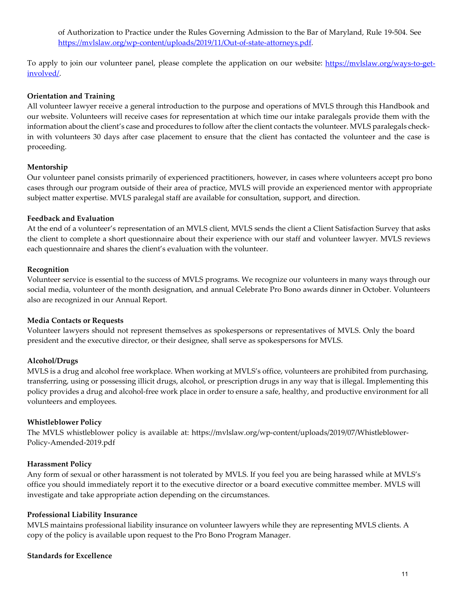of Authorization to Practice under the Rules Governing Admission to the Bar of Maryland, Rule 19-504. See [https://mvlslaw.org/wp-content/uploads/2019/11/Out-of-state-attorneys.pdf.](https://mvlslaw.org/wp-content/uploads/2019/11/Out-of-state-attorneys.pdf)

To apply to join our volunteer panel, please complete the application on our website: [https://mvlslaw.org/ways-to-get](https://mvlslaw.org/ways-to-get-involved/)[involved/.](https://mvlslaw.org/ways-to-get-involved/)

#### **Orientation and Training**

All volunteer lawyer receive a general introduction to the purpose and operations of MVLS through this Handbook and our website. Volunteers will receive cases for representation at which time our intake paralegals provide them with the information about the client's case and procedures to follow after the client contacts the volunteer. MVLS paralegals checkin with volunteers 30 days after case placement to ensure that the client has contacted the volunteer and the case is proceeding.

#### **Mentorship**

Our volunteer panel consists primarily of experienced practitioners, however, in cases where volunteers accept pro bono cases through our program outside of their area of practice, MVLS will provide an experienced mentor with appropriate subject matter expertise. MVLS paralegal staff are available for consultation, support, and direction.

#### **Feedback and Evaluation**

At the end of a volunteer's representation of an MVLS client, MVLS sends the client a Client Satisfaction Survey that asks the client to complete a short questionnaire about their experience with our staff and volunteer lawyer. MVLS reviews each questionnaire and shares the client's evaluation with the volunteer.

#### **Recognition**

Volunteer service is essential to the success of MVLS programs. We recognize our volunteers in many ways through our social media, volunteer of the month designation, and annual Celebrate Pro Bono awards dinner in October. Volunteers also are recognized in our Annual Report.

#### **Media Contacts or Requests**

Volunteer lawyers should not represent themselves as spokespersons or representatives of MVLS. Only the board president and the executive director, or their designee, shall serve as spokespersons for MVLS.

### **Alcohol/Drugs**

MVLS is a drug and alcohol free workplace. When working at MVLS's office, volunteers are prohibited from purchasing, transferring, using or possessing illicit drugs, alcohol, or prescription drugs in any way that is illegal. Implementing this policy provides a drug and alcohol-free work place in order to ensure a safe, healthy, and productive environment for all volunteers and employees.

#### **Whistleblower Policy**

The MVLS whistleblower policy is available at: https://mvlslaw.org/wp-content/uploads/2019/07/Whistleblower-Policy-Amended-2019.pdf

#### **Harassment Policy**

Any form of sexual or other harassment is not tolerated by MVLS. If you feel you are being harassed while at MVLS's office you should immediately report it to the executive director or a board executive committee member. MVLS will investigate and take appropriate action depending on the circumstances.

#### **Professional Liability Insurance**

MVLS maintains professional liability insurance on volunteer lawyers while they are representing MVLS clients. A copy of the policy is available upon request to the Pro Bono Program Manager.

#### **Standards for Excellence**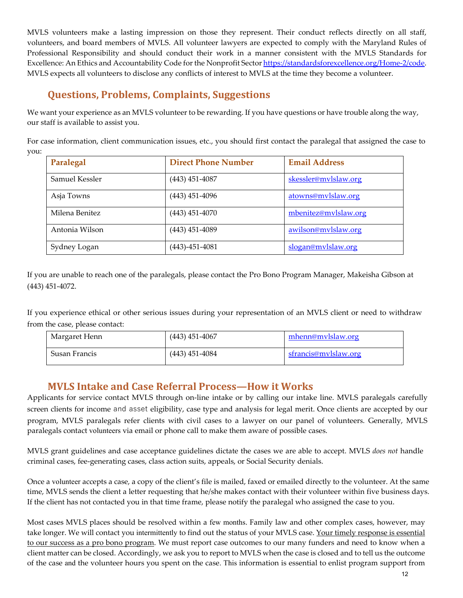MVLS volunteers make a lasting impression on those they represent. Their conduct reflects directly on all staff, volunteers, and board members of MVLS. All volunteer lawyers are expected to comply with the Maryland Rules of Professional Responsibility and should conduct their work in a manner consistent with the MVLS Standards for Excellence: An Ethics and Accountability Code for the Nonprofit Secto[r https://standardsforexcellence.org/Home-2/code.](https://standardsforexcellence.org/Home-2/code) MVLS expects all volunteers to disclose any conflicts of interest to MVLS at the time they become a volunteer.

# **Questions, Problems, Complaints, Suggestions**

We want your experience as an MVLS volunteer to be rewarding. If you have questions or have trouble along the way, our staff is available to assist you.

For case information, client communication issues, etc., you should first contact the paralegal that assigned the case to you:

| Paralegal      | <b>Direct Phone Number</b> | <b>Email Address</b> |
|----------------|----------------------------|----------------------|
| Samuel Kessler | $(443)$ 451-4087           | skessler@mvlslaw.org |
| Asja Towns     | $(443)$ 451-4096           | atowns@mvlslaw.org   |
| Milena Benitez | $(443)$ 451-4070           | mbenitez@mvlslaw.org |
| Antonia Wilson | $(443)$ 451-4089           | awilson@mvlslaw.org  |
| Sydney Logan   | $(443) - 451 - 4081$       | slogan@mvlslaw.org   |

If you are unable to reach one of the paralegals, please contact the Pro Bono Program Manager, Makeisha Gibson at (443) 451-4072.

If you experience ethical or other serious issues during your representation of an MVLS client or need to withdraw from the case, please contact:

| Margaret Henn | $(443)$ 451-4067 | mhenn@mylslaw.org    |
|---------------|------------------|----------------------|
| Susan Francis | $(443)$ 451-4084 | sfrancis@mylslaw.org |

## **MVLS Intake and Case Referral Process—How it Works**

Applicants for service contact MVLS through on-line intake or by calling our intake line. MVLS paralegals carefully screen clients for income and asset eligibility, case type and analysis for legal merit. Once clients are accepted by our program, MVLS paralegals refer clients with civil cases to a lawyer on our panel of volunteers. Generally, MVLS paralegals contact volunteers via email or phone call to make them aware of possible cases.

MVLS grant guidelines and case acceptance guidelines dictate the cases we are able to accept. MVLS *does not* handle criminal cases, fee-generating cases, class action suits, appeals, or Social Security denials.

Once a volunteer accepts a case, a copy of the client's file is mailed, faxed or emailed directly to the volunteer. At the same time, MVLS sends the client a letter requesting that he/she makes contact with their volunteer within five business days. If the client has not contacted you in that time frame, please notify the paralegal who assigned the case to you.

Most cases MVLS places should be resolved within a few months. Family law and other complex cases, however, may take longer. We will contact you intermittently to find out the status of your MVLS case. Your timely response is essential to our success as a pro bono program. We must report case outcomes to our many funders and need to know when a client matter can be closed. Accordingly, we ask you to report to MVLS when the case is closed and to tell us the outcome of the case and the volunteer hours you spent on the case. This information is essential to enlist program support from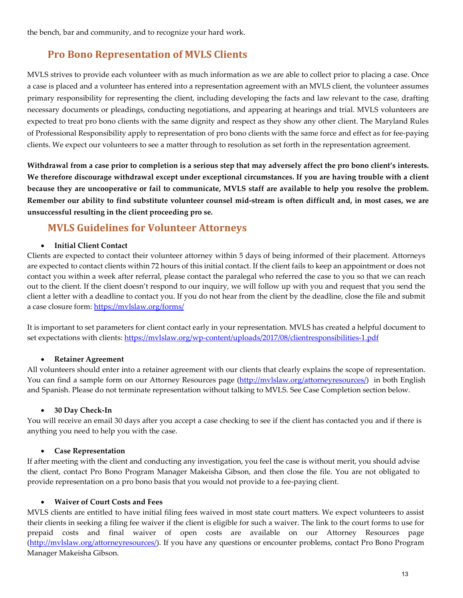the bench, bar and community, and to recognize your hard work.

## **Pro Bono Representation of MVLS Clients**

MVLS strives to provide each volunteer with as much information as we are able to collect prior to placing a case. Once a case is placed and a volunteer has entered into a representation agreement with an MVLS client, the volunteer assumes primary responsibility for representing the client, including developing the facts and law relevant to the case, drafting necessary documents or pleadings, conducting negotiations, and appearing at hearings and trial. MVLS volunteers are expected to treat pro bono clients with the same dignity and respect as they show any other client. The Maryland Rules of Professional Responsibility apply to representation of pro bono clients with the same force and effect as for fee-paying clients. We expect our volunteers to see a matter through to resolution as set forth in the representation agreement.

**Withdrawal from a case prior to completion is a serious step that may adversely affect the pro bono client's interests. We therefore discourage withdrawal except under exceptional circumstances. If you are having trouble with a client because they are uncooperative or fail to communicate, MVLS staff are available to help you resolve the problem. Remember our ability to find substitute volunteer counsel mid-stream is often difficult and, in most cases, we are unsuccessful resulting in the client proceeding pro se.**

## **MVLS Guidelines for Volunteer Attorneys**

### • **Initial Client Contact**

Clients are expected to contact their volunteer attorney within 5 days of being informed of their placement. Attorneys are expected to contact clients within 72 hours of this initial contact. If the client fails to keep an appointment or does not contact you within a week after referral, please contact the paralegal who referred the case to you so that we can reach out to the client. If the client doesn't respond to our inquiry, we will follow up with you and request that you send the client a letter with a deadline to contact you. If you do not hear from the client by the deadline, close the file and submit a case closure form:<https://mvlslaw.org/forms/>

It is important to set parameters for client contact early in your representation. MVLS has created a helpful document to set expectations with clients[: https://mvlslaw.org/wp-content/uploads/2017/08/clientresponsibilities-1.pdf](https://mvlslaw.org/wp-content/uploads/2017/08/clientresponsibilities-1.pdf)

### • **Retainer Agreement**

All volunteers should enter into a retainer agreement with our clients that clearly explains the scope of representation. You can find a sample form on our Attorney Resources page [\(http://mvlslaw.org/attorneyresources/\)](http://mvlslaw.org/attorneyresources/)) in both English and Spanish. Please do not terminate representation without talking to MVLS. See Case Completion section below.

### • **30 Day Check-In**

You will receive an email 30 days after you accept a case checking to see if the client has contacted you and if there is anything you need to help you with the case.

### • **Case Representation**

If after meeting with the client and conducting any investigation, you feel the case is without merit, you should advise the client, contact Pro Bono Program Manager Makeisha Gibson, and then close the file. You are not obligated to provide representation on a pro bono basis that you would not provide to a fee-paying client.

### • **Waiver of Court Costs and Fees**

MVLS clients are entitled to have initial filing fees waived in most state court matters. We expect volunteers to assist their clients in seeking a filing fee waiver if the client is eligible for such a waiver. The link to the court forms to use for prepaid costs and final waiver of open costs are available on our Attorney Resources page [\(http://mvlslaw.org/attorneyresources/\). I](http://mvlslaw.org/attorneyresources/))f you have any questions or encounter problems, contact Pro Bono Program Manager Makeisha Gibson.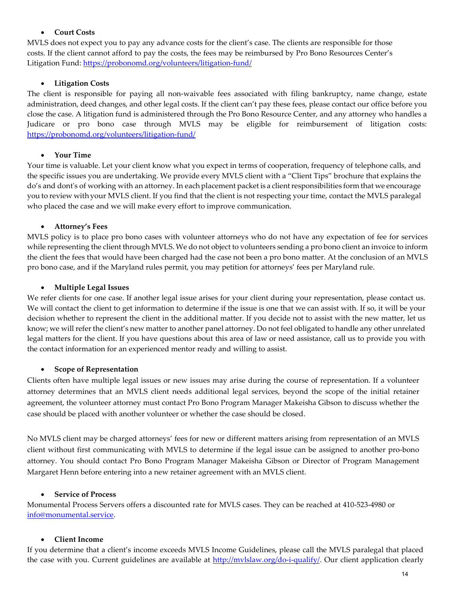### • **Court Costs**

MVLS does not expect you to pay any advance costs for the client's case. The clients are responsible for those costs. If the client cannot afford to pay the costs, the fees may be reimbursed by Pro Bono Resources Center's Litigation Fund:<https://probonomd.org/volunteers/litigation-fund/>

## • **Litigation Costs**

The client is responsible for paying all non-waivable fees associated with filing bankruptcy, name change, estate administration, deed changes, and other legal costs. If the client can't pay these fees, please contact our office before you close the case. A litigation fund is administered through the Pro Bono Resource Center, and any attorney who handles a Judicare or pro bono case through MVLS may be eligible for reimbursement of litigation costs: <https://probonomd.org/volunteers/litigation-fund/>

## • **Your Time**

Your time is valuable. Let your client know what you expect in terms of cooperation, frequency of telephone calls, and the specific issues you are undertaking. We provide every MVLS client with a "Client Tips" brochure that explains the do's and dont's of working with an attorney. In each placement packet is a client responsibilities form that we encourage you to review with your MVLS client. If you find that the client is not respecting your time, contact the MVLS paralegal who placed the case and we will make every effort to improve communication.

## • **Attorney's Fees**

MVLS policy is to place pro bono cases with volunteer attorneys who do not have any expectation of fee for services while representing the client through MVLS. We do not object to volunteers sending a pro bono client an invoice to inform the client the fees that would have been charged had the case not been a pro bono matter. At the conclusion of an MVLS pro bono case, and if the Maryland rules permit, you may petition for attorneys' fees per Maryland rule.

## • **Multiple Legal Issues**

We refer clients for one case. If another legal issue arises for your client during your representation, please contact us. We will contact the client to get information to determine if the issue is one that we can assist with. If so, it will be your decision whether to represent the client in the additional matter. If you decide not to assist with the new matter, let us know; we will refer the client's new matter to another panel attorney. Do not feel obligated to handle any other unrelated legal matters for the client. If you have questions about this area of law or need assistance, call us to provide you with the contact information for an experienced mentor ready and willing to assist.

### • **Scope of Representation**

Clients often have multiple legal issues or new issues may arise during the course of representation. If a volunteer attorney determines that an MVLS client needs additional legal services, beyond the scope of the initial retainer agreement, the volunteer attorney must contact Pro Bono Program Manager Makeisha Gibson to discuss whether the case should be placed with another volunteer or whether the case should be closed.

No MVLS client may be charged attorneys' fees for new or different matters arising from representation of an MVLS client without first communicating with MVLS to determine if the legal issue can be assigned to another pro-bono attorney. You should contact Pro Bono Program Manager Makeisha Gibson or Director of Program Management Margaret Henn before entering into a new retainer agreement with an MVLS client.

### • **Service of Process**

Monumental Process Servers offers a discounted rate for MVLS cases. They can be reached at 410-523-4980 or [info@monumental.service.](mailto:info@monumental.service)

### • **Client Income**

If you determine that a client's income exceeds MVLS Income Guidelines, please call the MVLS paralegal that placed the case with you. Current guidelines are available at [http://mvlslaw.org/do-i-qualify/. O](http://mvlslaw.org/do-i-qualify/)ur client application clearly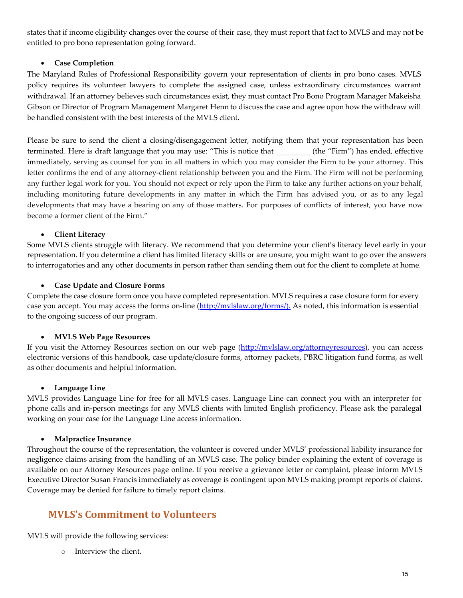states that if income eligibility changes over the course of their case, they must report that fact to MVLS and may not be entitled to pro bono representation going forward.

## • **Case Completion**

The Maryland Rules of Professional Responsibility govern your representation of clients in pro bono cases. MVLS policy requires its volunteer lawyers to complete the assigned case, unless extraordinary circumstances warrant withdrawal. If an attorney believes such circumstances exist, they must contact Pro Bono Program Manager Makeisha Gibson or Director of Program Management Margaret Henn to discuss the case and agree upon how the withdraw will be handled consistent with the best interests of the MVLS client.

Please be sure to send the client a closing/disengagement letter, notifying them that your representation has been terminated. Here is draft language that you may use: "This is notice that \_\_\_\_\_\_\_\_\_ (the "Firm") has ended, effective immediately, serving as counsel for you in all matters in which you may consider the Firm to be your attorney. This letter confirms the end of any attorney-client relationship between you and the Firm. The Firm will not be performing any further legal work for you. You should not expect or rely upon the Firm to take any further actions on your behalf, including monitoring future developments in any matter in which the Firm has advised you, or as to any legal developments that may have a bearing on any of those matters. For purposes of conflicts of interest, you have now become a former client of the Firm."

## • **Client Literacy**

Some MVLS clients struggle with literacy. We recommend that you determine your client's literacy level early in your representation. If you determine a client has limited literacy skills or are unsure, you might want to go over the answers to interrogatories and any other documents in person rather than sending them out for the client to complete at home.

## • **Case Update and Closure Forms**

Complete the case closure form once you have completed representation. MVLS requires a case closure form for every case you accept. You may access the forms on-line [\(http://mvlslaw.org/forms/\).](https://mvlslaw.org/forms/) As noted, this information is essential to the ongoing success of our program.

### • **MVLS Web Page Resources**

If you visit the Attorney Resources section on our web page [\(http://mvlslaw.org/attorneyresources\), y](http://mvlslaw.org/attorneyresources))ou can access electronic versions of this handbook, case update/closure forms, attorney packets, PBRC litigation fund forms, as well as other documents and helpful information.

### • **Language Line**

MVLS provides Language Line for free for all MVLS cases. Language Line can connect you with an interpreter for phone calls and in-person meetings for any MVLS clients with limited English proficiency. Please ask the paralegal working on your case for the Language Line access information.

### • **Malpractice Insurance**

Throughout the course of the representation, the volunteer is covered under MVLS' professional liability insurance for negligence claims arising from the handling of an MVLS case. The policy binder explaining the extent of coverage is available on our Attorney Resources page online. If you receive a grievance letter or complaint, please inform MVLS Executive Director Susan Francis immediately as coverage is contingent upon MVLS making prompt reports of claims. Coverage may be denied for failure to timely report claims.

# **MVLS's Commitment to Volunteers**

MVLS will provide the following services:

o Interview the client.